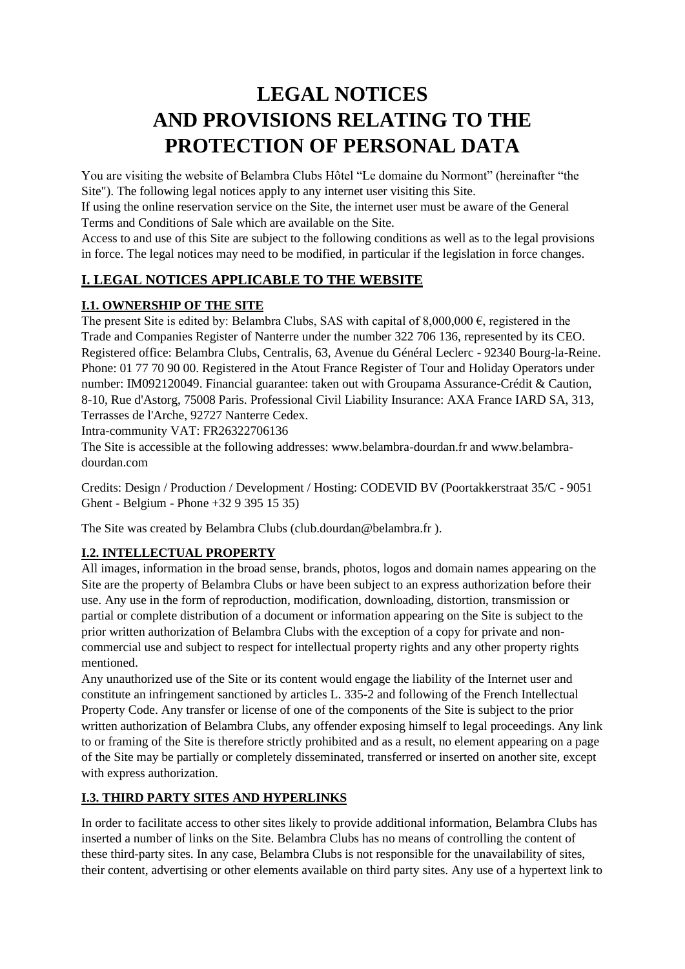# **LEGAL NOTICES AND PROVISIONS RELATING TO THE PROTECTION OF PERSONAL DATA**

You are visiting the website of Belambra Clubs Hôtel "Le domaine du Normont" (hereinafter "the Site"). The following legal notices apply to any internet user visiting this Site.

If using the online reservation service on the Site, the internet user must be aware of the General Terms and Conditions of Sale which are available on the Site.

Access to and use of this Site are subject to the following conditions as well as to the legal provisions in force. The legal notices may need to be modified, in particular if the legislation in force changes.

# **I. LEGAL NOTICES APPLICABLE TO THE WEBSITE**

### **I.1. OWNERSHIP OF THE SITE**

The present Site is edited by: Belambra Clubs, SAS with capital of  $8,000,000 \text{ } \epsilon$ , registered in the Trade and Companies Register of Nanterre under the number 322 706 136, represented by its CEO. Registered office: Belambra Clubs, Centralis, 63, Avenue du Général Leclerc - 92340 Bourg-la-Reine. Phone: 01 77 70 90 00. Registered in the Atout France Register of Tour and Holiday Operators under number: IM092120049. Financial guarantee: taken out with Groupama Assurance-Crédit & Caution, 8-10, Rue d'Astorg, 75008 Paris. Professional Civil Liability Insurance: AXA France IARD SA, 313, Terrasses de l'Arche, 92727 Nanterre Cedex.

Intra-community VAT: FR26322706136

The Site is accessible at the following addresses: www.belambra-dourdan.fr and www.belambradourdan.com

Credits: Design / Production / Development / Hosting: CODEVID BV (Poortakkerstraat 35/C - 9051 Ghent - Belgium - Phone +32 9 395 15 35)

The Site was created by Belambra Clubs (club.dourdan@belambra.fr ).

## **I.2. INTELLECTUAL PROPERTY**

All images, information in the broad sense, brands, photos, logos and domain names appearing on the Site are the property of Belambra Clubs or have been subject to an express authorization before their use. Any use in the form of reproduction, modification, downloading, distortion, transmission or partial or complete distribution of a document or information appearing on the Site is subject to the prior written authorization of Belambra Clubs with the exception of a copy for private and noncommercial use and subject to respect for intellectual property rights and any other property rights mentioned.

Any unauthorized use of the Site or its content would engage the liability of the Internet user and constitute an infringement sanctioned by articles L. 335-2 and following of the French Intellectual Property Code. Any transfer or license of one of the components of the Site is subject to the prior written authorization of Belambra Clubs, any offender exposing himself to legal proceedings. Any link to or framing of the Site is therefore strictly prohibited and as a result, no element appearing on a page of the Site may be partially or completely disseminated, transferred or inserted on another site, except with express authorization.

## **I.3. THIRD PARTY SITES AND HYPERLINKS**

In order to facilitate access to other sites likely to provide additional information, Belambra Clubs has inserted a number of links on the Site. Belambra Clubs has no means of controlling the content of these third-party sites. In any case, Belambra Clubs is not responsible for the unavailability of sites, their content, advertising or other elements available on third party sites. Any use of a hypertext link to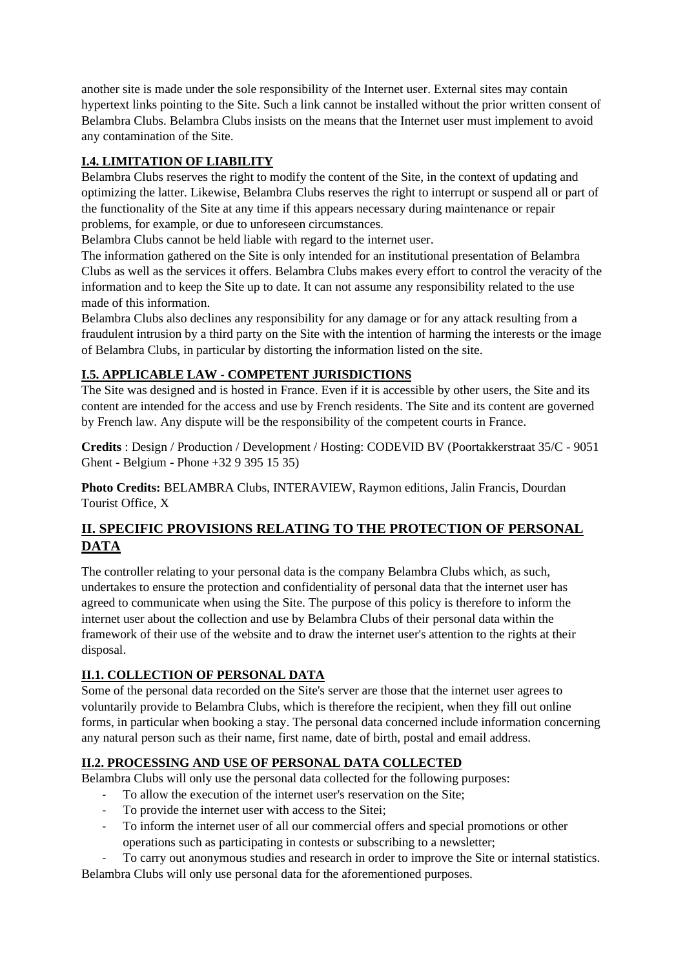another site is made under the sole responsibility of the Internet user. External sites may contain hypertext links pointing to the Site. Such a link cannot be installed without the prior written consent of Belambra Clubs. Belambra Clubs insists on the means that the Internet user must implement to avoid any contamination of the Site.

## **I.4. LIMITATION OF LIABILITY**

Belambra Clubs reserves the right to modify the content of the Site, in the context of updating and optimizing the latter. Likewise, Belambra Clubs reserves the right to interrupt or suspend all or part of the functionality of the Site at any time if this appears necessary during maintenance or repair problems, for example, or due to unforeseen circumstances.

Belambra Clubs cannot be held liable with regard to the internet user.

The information gathered on the Site is only intended for an institutional presentation of Belambra Clubs as well as the services it offers. Belambra Clubs makes every effort to control the veracity of the information and to keep the Site up to date. It can not assume any responsibility related to the use made of this information.

Belambra Clubs also declines any responsibility for any damage or for any attack resulting from a fraudulent intrusion by a third party on the Site with the intention of harming the interests or the image of Belambra Clubs, in particular by distorting the information listed on the site.

## **I.5. APPLICABLE LAW - COMPETENT JURISDICTIONS**

The Site was designed and is hosted in France. Even if it is accessible by other users, the Site and its content are intended for the access and use by French residents. The Site and its content are governed by French law. Any dispute will be the responsibility of the competent courts in France.

**Credits** : Design / Production / Development / Hosting: CODEVID BV (Poortakkerstraat 35/C - 9051 Ghent - Belgium - Phone +32 9 395 15 35)

**Photo Credits:** BELAMBRA Clubs, INTERAVIEW, Raymon editions, Jalin Francis, Dourdan Tourist Office, X

# **II. SPECIFIC PROVISIONS RELATING TO THE PROTECTION OF PERSONAL DATA**

The controller relating to your personal data is the company Belambra Clubs which, as such, undertakes to ensure the protection and confidentiality of personal data that the internet user has agreed to communicate when using the Site. The purpose of this policy is therefore to inform the internet user about the collection and use by Belambra Clubs of their personal data within the framework of their use of the website and to draw the internet user's attention to the rights at their disposal.

## **II.1. COLLECTION OF PERSONAL DATA**

Some of the personal data recorded on the Site's server are those that the internet user agrees to voluntarily provide to Belambra Clubs, which is therefore the recipient, when they fill out online forms, in particular when booking a stay. The personal data concerned include information concerning any natural person such as their name, first name, date of birth, postal and email address.

# **II.2. PROCESSING AND USE OF PERSONAL DATA COLLECTED**

Belambra Clubs will only use the personal data collected for the following purposes:

- To allow the execution of the internet user's reservation on the Site;
- To provide the internet user with access to the Sitei;
- To inform the internet user of all our commercial offers and special promotions or other operations such as participating in contests or subscribing to a newsletter;
- To carry out anonymous studies and research in order to improve the Site or internal statistics. Belambra Clubs will only use personal data for the aforementioned purposes.